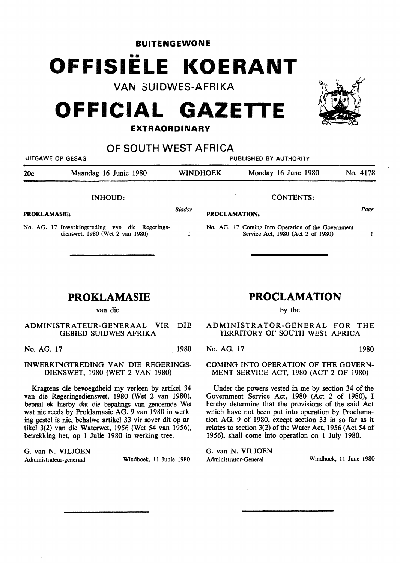**BUITENGEWONE** 

# **OFFISIELE KOERANT**

**VAN 3UIDWES-AFRIKA** 

## **OFFICIAL GAZETTE**

### **EXTRAORDINARY**

**OF SOUTH WEST AFRICA** 

UITGAWE OP GESAG PUBLISHED BY AUTHORITY 20c Maandag 16 Junie 1980 WINI)HOEK Monday 16 June 1980 No. 4178 INHOUD: CONTENTS: Page *Bladsy*  **PROKLAMASIE: PROCLAMATION:**  No. AG. 17 Inwerkingtreding van die Regerings-No. AG. 17 Coming Into Operation of the Government dienswet, 1980 (Wet 2 van 1980)  $\mathbf{1}$ Service Act, 1980 (Act 2 of 1980)  $\mathbf{1}$ 

## **PROKLAMASIE**

ADMINISTRATEUR-GENERAAL VIR DIE GEBIED SUIDWES-AFRIKA

No. AG. 17 1980

INWERKINGTREDING VAN DIE REGERINGS-DIENSWET, 1980 (WET 2 VAN 1980)

Kragtens die bevoegdheid my verleen by artikel 34 van die Regeringsdienswet, 1980 (Wet 2 van 1980). bepaal ek hierby dat die bepalings van genoemde Wet wat nie reeds by Proklamasie AG. 9 van 1980 in werking gestel is nie, behalwe artikel 33 vir sover dit op artikel 3(2) van die Waterwet, 1956 (Wet 54 van 1956), betrekking het, op 1 Julie 1980 in werking tree.

G. van N. VILJOEN Administrateur-generaal Windhoek, 11 Junie 1980

## **PROCLAMATION**

by the

ADMINISTRATOR-GENERAL FOR THE TERRITORY OF SOUTH WEST AFRICA

No. AG. 17 1980

COMING INTO OPERATION OF THE GOVERN-MENT SERVICE ACT, 1980 (ACT 2 OF 1980)

Under the powers vested in me by section 34 of the Government Service Act, 1980 (Act 2 of 1980), I hereby determine that the provisions of the said Act which have not been put into operation by Proclamation AG. 9 of 1980, except section 33 in so far as it relates to section 3(2) of the Water Act, 1956 (Act 54 of 1956), shall come into operation on 1 July 1980.

G. van N. VILJOEN Administrator-General Windhoek, 11 June 1980



van die